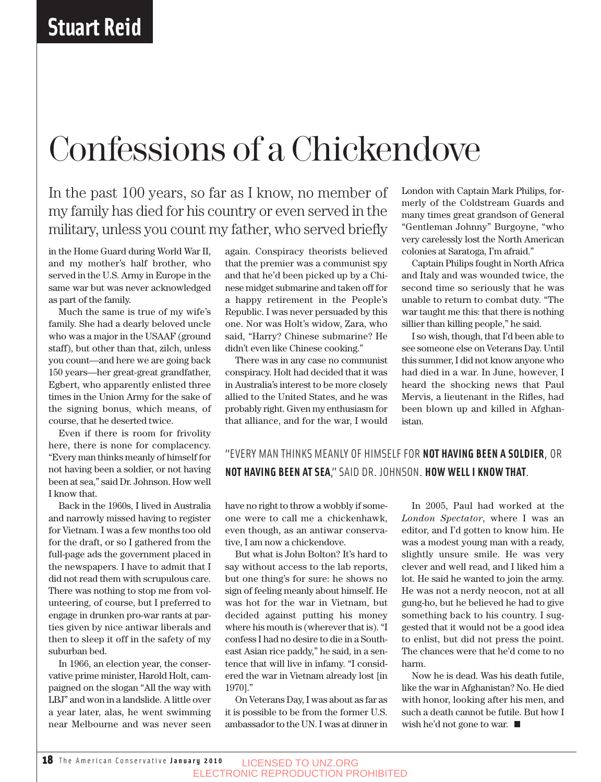## Confessions of a Chickendove

In the past 100 years, so far as I know, no member of my family has died for his country or even served in the military, unless you count my father, who served briefly

in the Home Guard during World War II, and my mother's half brother, who served in the U.S. Army in Europe in the same war but was never acknowledged as part of the family.

Much the same is true of my wife's family. She had a dearly beloved uncle who was a major in the USAAF (ground staff), but other than that, zilch, unless you count—and here we are going back 150 years—her great-great grandfather, Egbert, who apparently enlisted three times in the Union Army for the sake of the signing bonus, which means, of course, that he deserted twice.

Even if there is room for frivolity here, there is none for complacency. "Every man thinks meanly of himself for not having been a soldier, or not having been at sea," said Dr. Johnson. How well I know that.

Back in the 1960s, I lived in Australia and narrowly missed having to register for Vietnam. I was a few months too old for the draft, or so I gathered from the full-page ads the government placed in the newspapers. I have to admit that I did not read them with scrupulous care. There was nothing to stop me from volunteering, of course, but I preferred to engage in drunken pro-war rants at parties given by nice antiwar liberals and then to sleep it off in the safety of my suburban bed.

In 1966, an election year, the conservative prime minister, Harold Holt, campaigned on the slogan "All the way with LBJ" and won in a landslide. A little over a year later, alas, he went swimming near Melbourne and was never seen

again. Conspiracy theorists believed that the premier was a communist spy and that he'd been picked up by a Chinese midget submarine and taken off for a happy retirement in the People's Republic. I was never persuaded by this one. Nor was Holt's widow, Zara, who said, "Harry? Chinese submarine? He didn't even like Chinese cooking."

There was in any case no communist conspiracy. Holt had decided that it was in Australia's interest to be more closely allied to the United States, and he was probably right. Given my enthusiasm for that alliance, and for the war, I would London with Captain Mark Philips, formerly of the Coldstream Guards and many times great grandson of General "Gentleman Johnny" Burgoyne, "who very carelessly lost the North American colonies at Saratoga, I'm afraid."

Captain Philips fought in North Africa and Italy and was wounded twice, the second time so seriously that he was unable to return to combat duty. "The war taught me this: that there is nothing sillier than killing people," he said.

I so wish, though, that I'd been able to see someone else on Veterans Day. Until this summer, I did not know anyone who had died in a war. In June, however, I heard the shocking news that Paul Mervis, a lieutenant in the Rifles, had been blown up and killed in Afghanistan.

### "EVERY MAN THINKS MEANLY OF HIMSELF FOR **NOT HAVING BEEN A SOLDIER**, OR **NOT HAVING BEEN AT SEA**," SAID DR. JOHNSON. **HOW WELL I KNOW THAT**.

have no right to throw a wobbly if someone were to call me a chickenhawk, even though, as an antiwar conservative, I am now a chickendove.

But what is John Bolton? It's hard to say without access to the lab reports, but one thing's for sure: he shows no sign of feeling meanly about himself. He was hot for the war in Vietnam, but decided against putting his money where his mouth is (wherever that is). "I confess I had no desire to die in a Southeast Asian rice paddy," he said, in a sentence that will live in infamy. "I considered the war in Vietnam already lost [in 1970]."

On Veterans Day, I was about as far as it is possible to be from the former U.S. ambassador to the UN. I was at dinner in

In 2005, Paul had worked at the *London Spectator*, where I was an editor, and I'd gotten to know him. He was a modest young man with a ready, slightly unsure smile. He was very clever and well read, and I liked him a lot. He said he wanted to join the army. He was not a nerdy neocon, not at all gung-ho, but he believed he had to give something back to his country. I suggested that it would not be a good idea to enlist, but did not press the point. The chances were that he'd come to no harm.

Now he is dead. Was his death futile, like the war in Afghanistan? No. He died with honor, looking after his men, and such a death cannot be futile. But how I wish he'd not gone to war.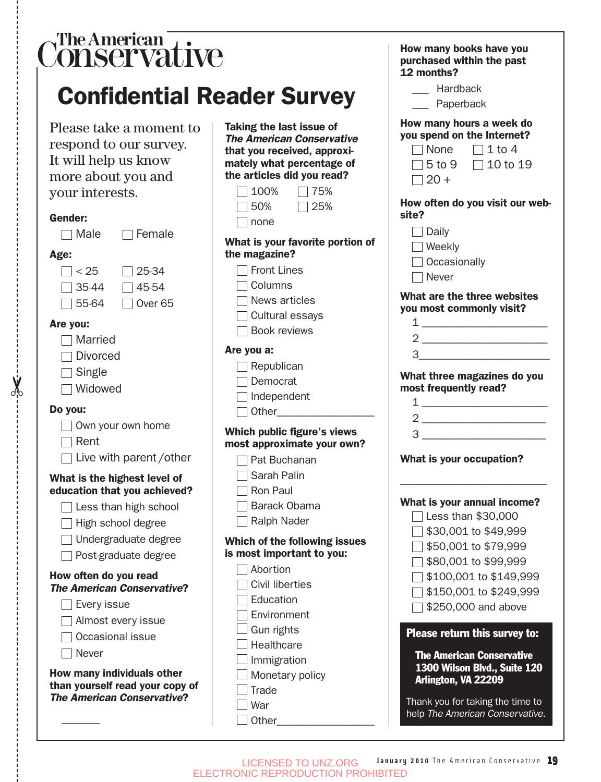| The American $\frac{\ }{\sqrt{\ }}$<br><b>Conservative</b><br><b>Confidential Reader Survey</b>                                                                                                                                                                                                                                                                                                                                   |                                                                                                                                                                                                                                                                                                                                                                                                                                                                                                               | How many books have you<br>purchased within the past<br>12 months?<br>__ Hardback<br>__ Paperback                                                                                                                                                                                                                                                                                                                                                                                                                                                                                                                                                                                                                                                                                                                                                                                                                                        |
|-----------------------------------------------------------------------------------------------------------------------------------------------------------------------------------------------------------------------------------------------------------------------------------------------------------------------------------------------------------------------------------------------------------------------------------|---------------------------------------------------------------------------------------------------------------------------------------------------------------------------------------------------------------------------------------------------------------------------------------------------------------------------------------------------------------------------------------------------------------------------------------------------------------------------------------------------------------|------------------------------------------------------------------------------------------------------------------------------------------------------------------------------------------------------------------------------------------------------------------------------------------------------------------------------------------------------------------------------------------------------------------------------------------------------------------------------------------------------------------------------------------------------------------------------------------------------------------------------------------------------------------------------------------------------------------------------------------------------------------------------------------------------------------------------------------------------------------------------------------------------------------------------------------|
| Please take a moment to<br>respond to our survey.<br>It will help us know<br>more about you and<br>your interests.<br><b>Gender:</b><br>Male<br>$\Box$ Female<br>Age:<br>$\overline{\phantom{a}}$ < 25<br>25-34<br>35-44<br>45-54<br>55-64<br>Over <sub>65</sub><br>Are you:<br>Married<br><b>Divorced</b><br>Single<br>Widowed<br>Do you:<br>Own your own home<br>Rent<br>Live with parent/other<br>What is the highest level of | Taking the last issue of<br><b>The American Conservative</b><br>that you received, approxi-<br>mately what percentage of<br>the articles did you read?<br>100%<br>75%<br>50%<br>25%<br>none<br>What is your favorite portion of<br>the magazine?<br>Front Lines<br>Columns<br>News articles<br>Cultural essays<br><b>Book reviews</b><br>Are you a:<br>$\Box$ Republican<br>Democrat<br>$\Box$ Independent<br>Which public figure's views<br>most approximate your own?<br>Pat Buchanan<br>$\Box$ Sarah Palin | How many hours a week do<br>you spend on the Internet?<br>$\Box$ 1 to 4<br>$\sqcap$ None<br>5 to 9 $\Box$ 10 to 19<br>$\Box$ 20 +<br>How often do you visit our web-<br>site?<br>Daily<br>$\mathcal{L}$<br>Weekly<br>Occasionally<br>Never<br>What are the three websites<br>you most commonly visit?<br>$1$ $\overline{\phantom{a}}$<br>$3$ $\overline{\phantom{a}}$<br>What three magazines do you<br>most frequently read?<br>$1$ $\overline{\phantom{a}}$<br>$\begin{array}{c} 3 \end{array}$<br>What is your occupation?<br>What is your annual income?<br>Less than \$30,000<br>\$30,001 to \$49,999<br>\$50,001 to \$79,999<br>\$80,001 to \$99,999<br>\$100,001 to \$149,999<br>\$150,001 to \$249,999<br>\$250,000 and above<br>Please return this survey to:<br><b>The American Conservative</b><br>1300 Wilson Blvd., Suite 120<br>Arlington, VA 22209<br>Thank you for taking the time to<br>help The American Conservative. |
| education that you achieved?<br>Less than high school<br>High school degree<br>Undergraduate degree<br>Post-graduate degree<br>How often do you read<br><b>The American Conservative?</b><br>Every issue<br>Almost every issue<br>Occasional issue<br>Never<br>How many individuals other<br>than yourself read your copy of<br><b>The American Conservative?</b>                                                                 | Ron Paul<br>Barack Obama<br>Ralph Nader<br>Which of the following issues<br>is most important to you:<br>Abortion<br><b>Civil liberties</b><br>Education<br>Environment<br>Gun rights<br>Healthcare<br>Immigration<br>Monetary policy<br>Trade<br>War                                                                                                                                                                                                                                                         |                                                                                                                                                                                                                                                                                                                                                                                                                                                                                                                                                                                                                                                                                                                                                                                                                                                                                                                                          |

✂